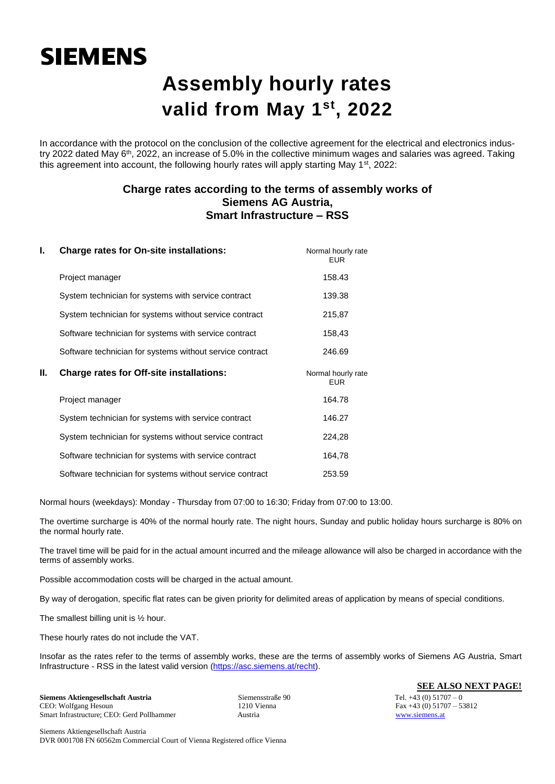## **SIEMENS**

## **Assembly hourly rates valid from May 1 st, 2022**

In accordance with the protocol on the conclusion of the collective agreement for the electrical and electronics industry 2022 dated May 6<sup>th</sup>, 2022, an increase of 5.0% in the collective minimum wages and salaries was agreed. Taking this agreement into account, the following hourly rates will apply starting May  $1<sup>st</sup>$ , 2022:

### **Charge rates according to the terms of assembly works of Siemens AG Austria, Smart Infrastructure – RSS**

| I. | <b>Charge rates for On-site installations:</b>           | Normal hourly rate<br><b>EUR</b> |
|----|----------------------------------------------------------|----------------------------------|
|    | Project manager                                          | 158.43                           |
|    | System technician for systems with service contract      | 139.38                           |
|    | System technician for systems without service contract   | 215,87                           |
|    | Software technician for systems with service contract    | 158,43                           |
|    | Software technician for systems without service contract | 246.69                           |
|    |                                                          |                                  |
| Ш. | <b>Charge rates for Off-site installations:</b>          | Normal hourly rate<br><b>EUR</b> |
|    | Project manager                                          | 164.78                           |
|    | System technician for systems with service contract      | 146.27                           |
|    | System technician for systems without service contract   | 224,28                           |
|    | Software technician for systems with service contract    | 164,78                           |

Normal hours (weekdays): Monday - Thursday from 07:00 to 16:30; Friday from 07:00 to 13:00.

The overtime surcharge is 40% of the normal hourly rate. The night hours, Sunday and public holiday hours surcharge is 80% on the normal hourly rate.

The travel time will be paid for in the actual amount incurred and the mileage allowance will also be charged in accordance with the terms of assembly works.

Possible accommodation costs will be charged in the actual amount.

By way of derogation, specific flat rates can be given priority for delimited areas of application by means of special conditions.

The smallest billing unit is ½ hour.

These hourly rates do not include the VAT.

Insofar as the rates refer to the terms of assembly works, these are the terms of assembly works of Siemens AG Austria, Smart Infrastructure - RSS in the latest valid version [\(https://asc.siemens.at/recht\)](https://asc.siemens.at/recht).

**Siemens Aktiengesellschaft Austria** Siemensstraße 90 Tel. +43 (0) 51707 – 0 Smart Infrastructure; CEO: Gerd Pollhammer Austria Austria extension and all the structure; CEO: Gerd Pollhammer Austria Austria extension and the structure; CEO: Gerd Pollhammer Austria Austria extension and the structure

**SEE ALSO NEXT PAGE!**

Fax  $+43$  (0)  $51707 - 53812$ 

Siemens Aktiengesellschaft Austria DVR 0001708 FN 60562m Commercial Court of Vienna Registered office Vienna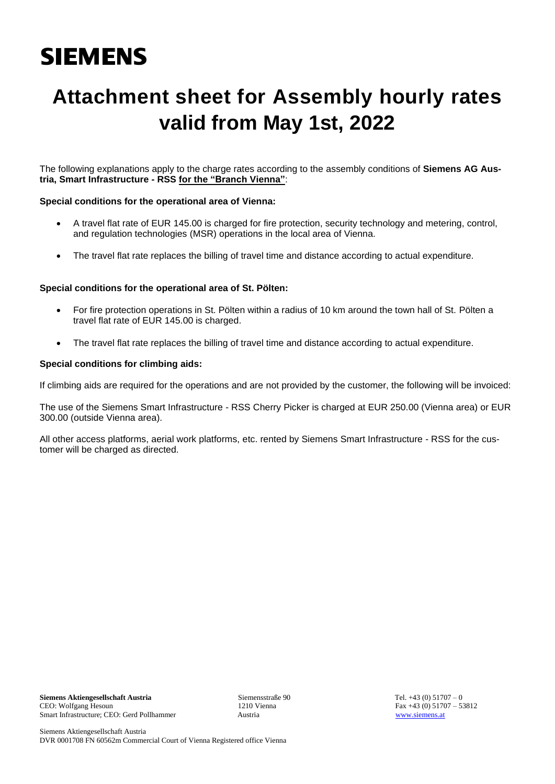# **SIEMENS**

## **Attachment sheet for Assembly hourly rates valid from May 1st, 2022**

The following explanations apply to the charge rates according to the assembly conditions of **Siemens AG Austria, Smart Infrastructure - RSS for the "Branch Vienna"**:

#### **Special conditions for the operational area of Vienna:**

- A travel flat rate of EUR 145.00 is charged for fire protection, security technology and metering, control, and regulation technologies (MSR) operations in the local area of Vienna.
- The travel flat rate replaces the billing of travel time and distance according to actual expenditure.

#### **Special conditions for the operational area of St. Pölten:**

- For fire protection operations in St. Pölten within a radius of 10 km around the town hall of St. Pölten a travel flat rate of EUR 145.00 is charged.
- The travel flat rate replaces the billing of travel time and distance according to actual expenditure.

#### **Special conditions for climbing aids:**

If climbing aids are required for the operations and are not provided by the customer, the following will be invoiced:

The use of the Siemens Smart Infrastructure - RSS Cherry Picker is charged at EUR 250.00 (Vienna area) or EUR 300.00 (outside Vienna area).

All other access platforms, aerial work platforms, etc. rented by Siemens Smart Infrastructure - RSS for the customer will be charged as directed.

Fax  $+43$  (0)  $51707 - 53812$